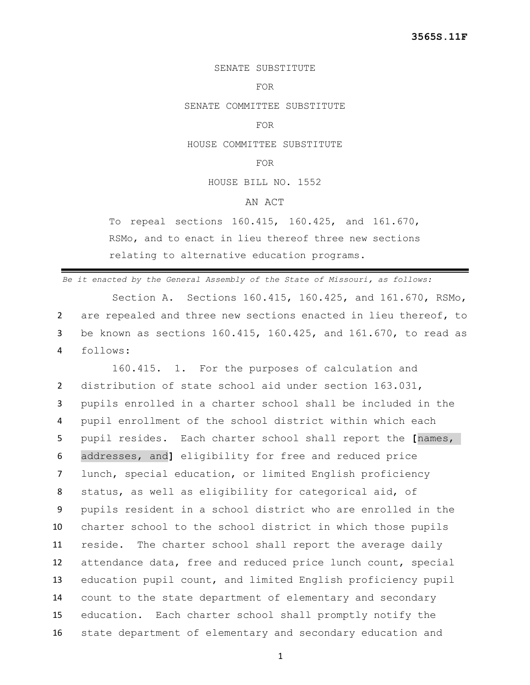### SENATE SUBSTITUTE

#### FOR

SENATE COMMITTEE SUBSTITUTE

### FOR

HOUSE COMMITTEE SUBSTITUTE

## FOR

HOUSE BILL NO. 1552

# AN ACT

To repeal sections 160.415, 160.425, and 161.670, RSMo, and to enact in lieu thereof three new sections relating to alternative education programs.

*Be it enacted by the General Assembly of the State of Missouri, as follows:*

Section A. Sections 160.415, 160.425, and 161.670, RSMo, 2 are repealed and three new sections enacted in lieu thereof, to 3 be known as sections 160.415, 160.425, and 161.670, to read as 4 follows:

160.415. 1. For the purposes of calculation and distribution of state school aid under section 163.031, pupils enrolled in a charter school shall be included in the pupil enrollment of the school district within which each pupil resides. Each charter school shall report the **[**names, addresses, and**]** eligibility for free and reduced price lunch, special education, or limited English proficiency status, as well as eligibility for categorical aid, of pupils resident in a school district who are enrolled in the charter school to the school district in which those pupils reside. The charter school shall report the average daily attendance data, free and reduced price lunch count, special education pupil count, and limited English proficiency pupil count to the state department of elementary and secondary education. Each charter school shall promptly notify the state department of elementary and secondary education and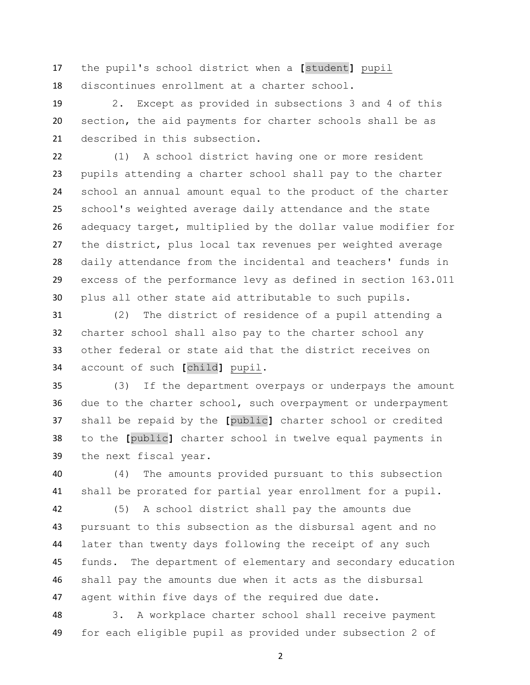the pupil's school district when a **[**student**]** pupil discontinues enrollment at a charter school.

 2. Except as provided in subsections 3 and 4 of this section, the aid payments for charter schools shall be as described in this subsection.

 (1) A school district having one or more resident pupils attending a charter school shall pay to the charter school an annual amount equal to the product of the charter school's weighted average daily attendance and the state adequacy target, multiplied by the dollar value modifier for the district, plus local tax revenues per weighted average daily attendance from the incidental and teachers' funds in excess of the performance levy as defined in section 163.011 plus all other state aid attributable to such pupils.

 (2) The district of residence of a pupil attending a charter school shall also pay to the charter school any other federal or state aid that the district receives on account of such **[**child**]** pupil.

 (3) If the department overpays or underpays the amount due to the charter school, such overpayment or underpayment shall be repaid by the **[**public**]** charter school or credited to the **[**public**]** charter school in twelve equal payments in the next fiscal year.

 (4) The amounts provided pursuant to this subsection shall be prorated for partial year enrollment for a pupil.

 (5) A school district shall pay the amounts due pursuant to this subsection as the disbursal agent and no later than twenty days following the receipt of any such funds. The department of elementary and secondary education shall pay the amounts due when it acts as the disbursal agent within five days of the required due date.

 3. A workplace charter school shall receive payment for each eligible pupil as provided under subsection 2 of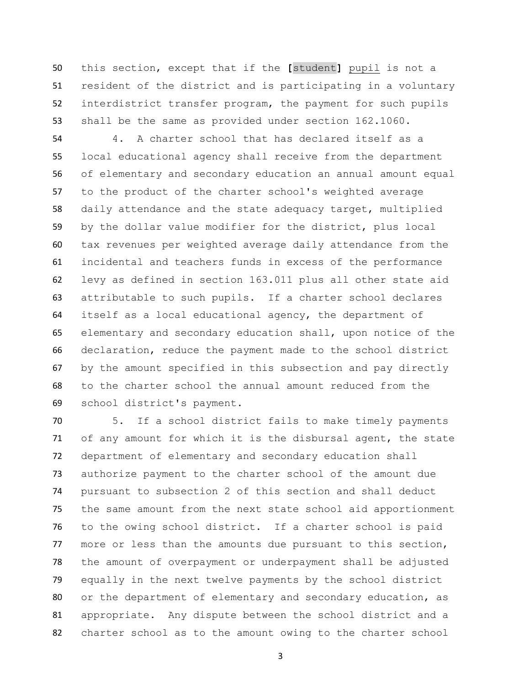this section, except that if the **[**student**]** pupil is not a resident of the district and is participating in a voluntary interdistrict transfer program, the payment for such pupils shall be the same as provided under section 162.1060.

 4. A charter school that has declared itself as a local educational agency shall receive from the department of elementary and secondary education an annual amount equal to the product of the charter school's weighted average daily attendance and the state adequacy target, multiplied by the dollar value modifier for the district, plus local tax revenues per weighted average daily attendance from the incidental and teachers funds in excess of the performance levy as defined in section 163.011 plus all other state aid attributable to such pupils. If a charter school declares itself as a local educational agency, the department of elementary and secondary education shall, upon notice of the declaration, reduce the payment made to the school district by the amount specified in this subsection and pay directly to the charter school the annual amount reduced from the school district's payment.

 5. If a school district fails to make timely payments of any amount for which it is the disbursal agent, the state department of elementary and secondary education shall authorize payment to the charter school of the amount due pursuant to subsection 2 of this section and shall deduct the same amount from the next state school aid apportionment to the owing school district. If a charter school is paid 77 more or less than the amounts due pursuant to this section, the amount of overpayment or underpayment shall be adjusted equally in the next twelve payments by the school district or the department of elementary and secondary education, as appropriate. Any dispute between the school district and a charter school as to the amount owing to the charter school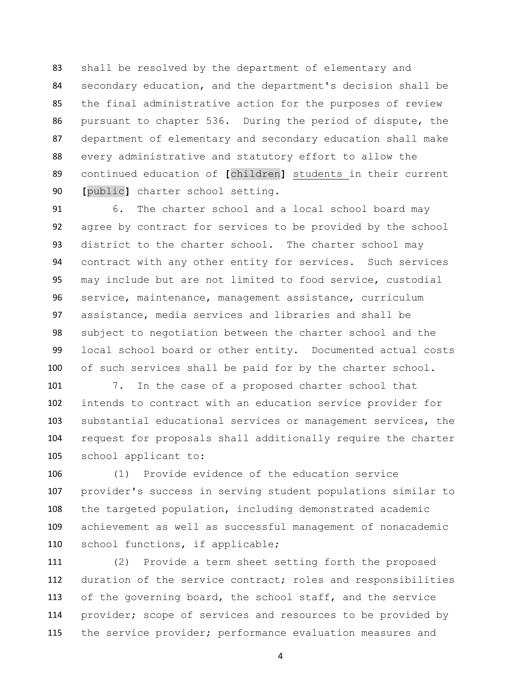shall be resolved by the department of elementary and secondary education, and the department's decision shall be the final administrative action for the purposes of review pursuant to chapter 536. During the period of dispute, the department of elementary and secondary education shall make every administrative and statutory effort to allow the continued education of **[**children**]** students in their current **[**public**]** charter school setting.

 6. The charter school and a local school board may agree by contract for services to be provided by the school district to the charter school. The charter school may contract with any other entity for services. Such services may include but are not limited to food service, custodial service, maintenance, management assistance, curriculum assistance, media services and libraries and shall be subject to negotiation between the charter school and the local school board or other entity. Documented actual costs 100 of such services shall be paid for by the charter school.

 7. In the case of a proposed charter school that intends to contract with an education service provider for substantial educational services or management services, the request for proposals shall additionally require the charter school applicant to:

 (1) Provide evidence of the education service provider's success in serving student populations similar to the targeted population, including demonstrated academic achievement as well as successful management of nonacademic school functions, if applicable;

 (2) Provide a term sheet setting forth the proposed duration of the service contract; roles and responsibilities of the governing board, the school staff, and the service 114 provider; scope of services and resources to be provided by 115 the service provider; performance evaluation measures and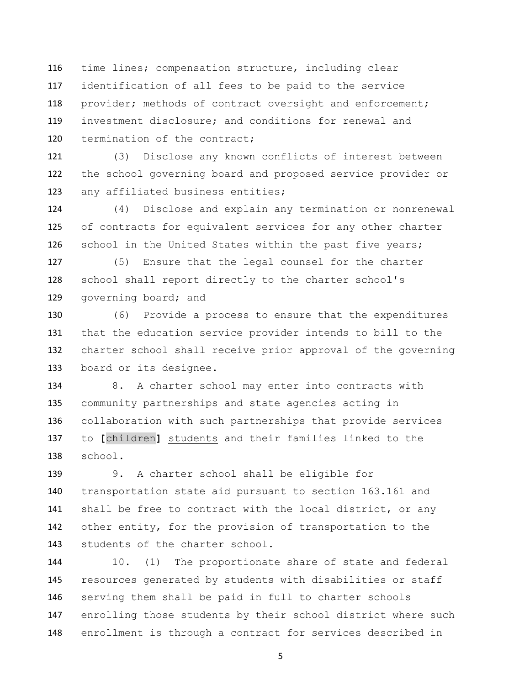time lines; compensation structure, including clear identification of all fees to be paid to the service provider; methods of contract oversight and enforcement; investment disclosure; and conditions for renewal and 120 termination of the contract;

 (3) Disclose any known conflicts of interest between the school governing board and proposed service provider or any affiliated business entities;

 (4) Disclose and explain any termination or nonrenewal of contracts for equivalent services for any other charter school in the United States within the past five years;

 (5) Ensure that the legal counsel for the charter school shall report directly to the charter school's 129 governing board; and

 (6) Provide a process to ensure that the expenditures that the education service provider intends to bill to the charter school shall receive prior approval of the governing board or its designee.

 8. A charter school may enter into contracts with community partnerships and state agencies acting in collaboration with such partnerships that provide services to **[**children**]** students and their families linked to the school.

 9. A charter school shall be eligible for transportation state aid pursuant to section 163.161 and 141 shall be free to contract with the local district, or any other entity, for the provision of transportation to the students of the charter school.

 10. (1) The proportionate share of state and federal resources generated by students with disabilities or staff serving them shall be paid in full to charter schools enrolling those students by their school district where such enrollment is through a contract for services described in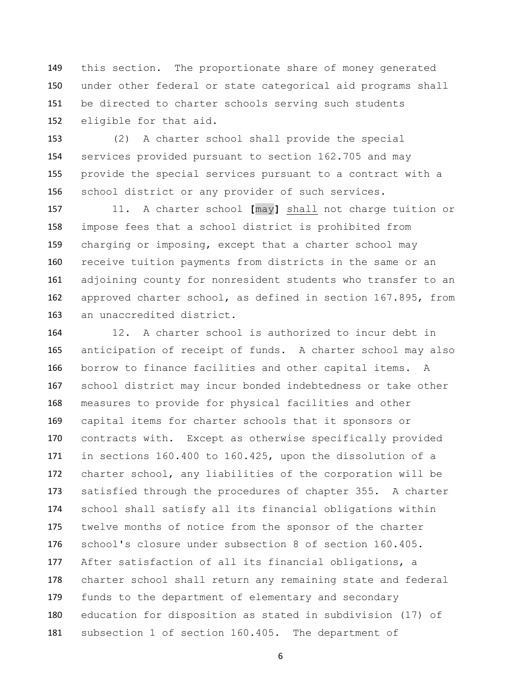this section. The proportionate share of money generated under other federal or state categorical aid programs shall be directed to charter schools serving such students eligible for that aid.

 (2) A charter school shall provide the special services provided pursuant to section 162.705 and may provide the special services pursuant to a contract with a school district or any provider of such services.

 11. A charter school **[**may**]** shall not charge tuition or impose fees that a school district is prohibited from charging or imposing, except that a charter school may receive tuition payments from districts in the same or an adjoining county for nonresident students who transfer to an approved charter school, as defined in section 167.895, from an unaccredited district.

 12. A charter school is authorized to incur debt in anticipation of receipt of funds. A charter school may also borrow to finance facilities and other capital items. A school district may incur bonded indebtedness or take other measures to provide for physical facilities and other capital items for charter schools that it sponsors or contracts with. Except as otherwise specifically provided in sections 160.400 to 160.425, upon the dissolution of a charter school, any liabilities of the corporation will be satisfied through the procedures of chapter 355. A charter school shall satisfy all its financial obligations within twelve months of notice from the sponsor of the charter school's closure under subsection 8 of section 160.405. After satisfaction of all its financial obligations, a charter school shall return any remaining state and federal funds to the department of elementary and secondary education for disposition as stated in subdivision (17) of subsection 1 of section 160.405. The department of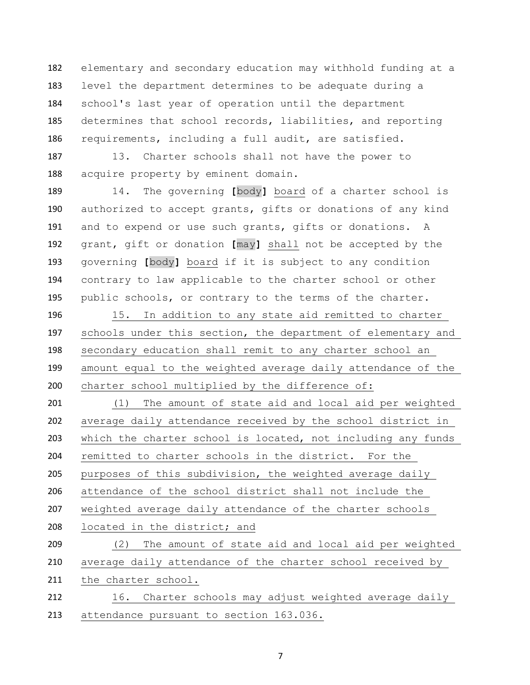elementary and secondary education may withhold funding at a level the department determines to be adequate during a school's last year of operation until the department determines that school records, liabilities, and reporting requirements, including a full audit, are satisfied.

 13. Charter schools shall not have the power to acquire property by eminent domain.

 14. The governing **[**body**]** board of a charter school is authorized to accept grants, gifts or donations of any kind and to expend or use such grants, gifts or donations. A grant, gift or donation **[**may**]** shall not be accepted by the governing **[**body**]** board if it is subject to any condition contrary to law applicable to the charter school or other public schools, or contrary to the terms of the charter.

 15. In addition to any state aid remitted to charter schools under this section, the department of elementary and secondary education shall remit to any charter school an amount equal to the weighted average daily attendance of the charter school multiplied by the difference of:

 (1) The amount of state aid and local aid per weighted average daily attendance received by the school district in which the charter school is located, not including any funds remitted to charter schools in the district. For the purposes of this subdivision, the weighted average daily attendance of the school district shall not include the weighted average daily attendance of the charter schools located in the district; and

 (2) The amount of state aid and local aid per weighted average daily attendance of the charter school received by 211 the charter school.

212 16. Charter schools may adjust weighted average daily attendance pursuant to section 163.036.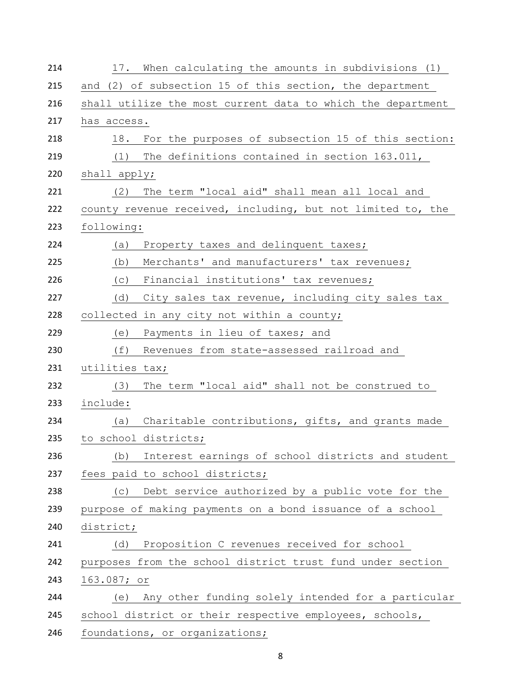| 214 | 17. When calculating the amounts in subdivisions (1)        |
|-----|-------------------------------------------------------------|
| 215 | and (2) of subsection 15 of this section, the department    |
| 216 | shall utilize the most current data to which the department |
| 217 | has access.                                                 |
| 218 | 18.<br>For the purposes of subsection 15 of this section:   |
| 219 | The definitions contained in section 163.011,<br>(1)        |
| 220 | shall apply;                                                |
| 221 | The term "local aid" shall mean all local and<br>(2)        |
| 222 | county revenue received, including, but not limited to, the |
| 223 | following:                                                  |
| 224 | Property taxes and delinquent taxes;<br>(a)                 |
| 225 | Merchants' and manufacturers' tax revenues;<br>(b)          |
| 226 | Financial institutions' tax revenues;<br>(C)                |
| 227 | City sales tax revenue, including city sales tax<br>(d)     |
| 228 | collected in any city not within a county;                  |
| 229 | (e)<br>Payments in lieu of taxes; and                       |
| 230 | (f)<br>Revenues from state-assessed railroad and            |
| 231 | utilities tax;                                              |
| 232 | The term "local aid" shall not be construed to<br>(3)       |
| 233 | include:                                                    |
| 234 | Charitable contributions, gifts, and grants made<br>(a)     |
| 235 | to school districts;                                        |
| 236 | Interest earnings of school districts and student<br>(b)    |
| 237 | fees paid to school districts;                              |
| 238 | Debt service authorized by a public vote for the<br>(C)     |
| 239 | purpose of making payments on a bond issuance of a school   |
| 240 | district;                                                   |
| 241 | Proposition C revenues received for school<br>(d)           |
| 242 | purposes from the school district trust fund under section  |
| 243 | 163.087; or                                                 |
| 244 | Any other funding solely intended for a particular<br>(e)   |
| 245 | school district or their respective employees, schools,     |
| 246 | foundations, or organizations;                              |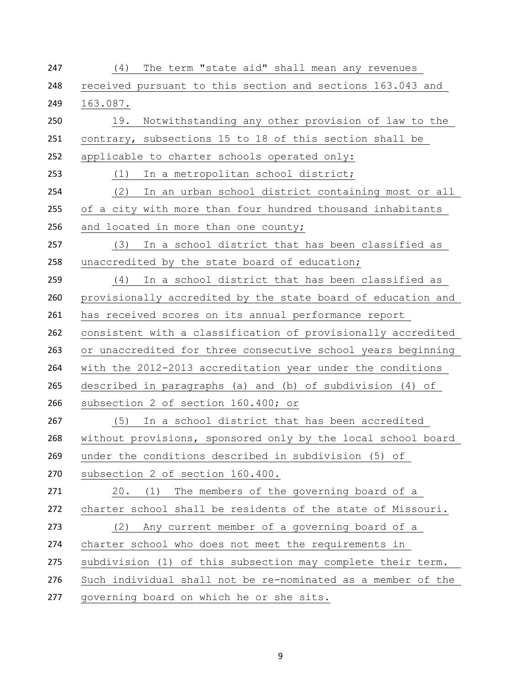| 247 | The term "state aid" shall mean any revenues<br>(4)          |
|-----|--------------------------------------------------------------|
| 248 | received pursuant to this section and sections 163.043 and   |
| 249 | 163.087.                                                     |
| 250 | Notwithstanding any other provision of law to the<br>19.     |
| 251 | contrary, subsections 15 to 18 of this section shall be      |
| 252 | applicable to charter schools operated only:                 |
| 253 | (1)<br>In a metropolitan school district;                    |
| 254 | In an urban school district containing most or all<br>(2)    |
| 255 | of a city with more than four hundred thousand inhabitants   |
| 256 | and located in more than one county;                         |
| 257 | In a school district that has been classified as<br>(3)      |
| 258 | unaccredited by the state board of education;                |
| 259 | In a school district that has been classified as<br>(4)      |
| 260 | provisionally accredited by the state board of education and |
| 261 | has received scores on its annual performance report         |
| 262 | consistent with a classification of provisionally accredited |
| 263 | or unaccredited for three consecutive school years beginning |
| 264 | with the 2012-2013 accreditation year under the conditions   |
| 265 | described in paragraphs (a) and (b) of subdivision (4) of    |
| 266 | subsection 2 of section 160.400; or                          |
| 267 | (5) In a school district that has been accredited            |
| 268 | without provisions, sponsored only by the local school board |
| 269 | under the conditions described in subdivision (5) of         |
| 270 | subsection 2 of section 160.400.                             |
| 271 | The members of the governing board of a<br>20.<br>(1)        |
| 272 | charter school shall be residents of the state of Missouri.  |
| 273 | Any current member of a governing board of a<br>(2)          |
| 274 | charter school who does not meet the requirements in         |
| 275 | subdivision (1) of this subsection may complete their term.  |
| 276 | Such individual shall not be re-nominated as a member of the |
| 277 | governing board on which he or she sits.                     |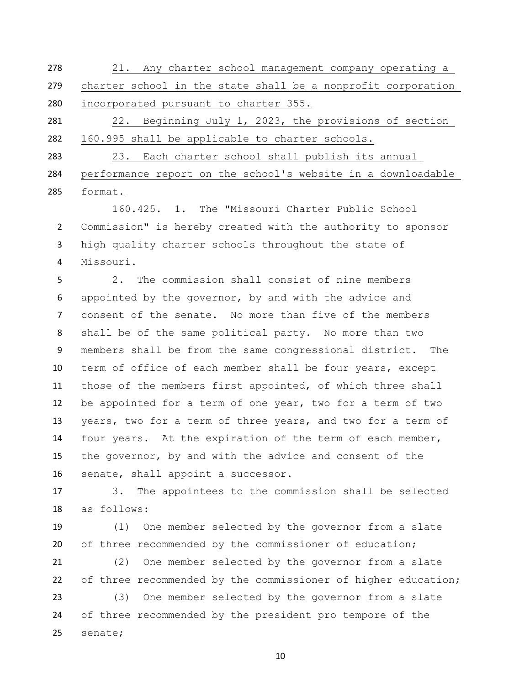| 278 | 21. Any charter school management company operating a        |
|-----|--------------------------------------------------------------|
| 279 | charter school in the state shall be a nonprofit corporation |
| 280 | incorporated pursuant to charter 355.                        |
| 281 | 22. Beginning July 1, 2023, the provisions of section        |

160.995 shall be applicable to charter schools.

 23. Each charter school shall publish its annual performance report on the school's website in a downloadable format.

 160.425. 1. The "Missouri Charter Public School Commission" is hereby created with the authority to sponsor high quality charter schools throughout the state of Missouri.

 2. The commission shall consist of nine members appointed by the governor, by and with the advice and consent of the senate. No more than five of the members shall be of the same political party. No more than two members shall be from the same congressional district. The term of office of each member shall be four years, except those of the members first appointed, of which three shall be appointed for a term of one year, two for a term of two years, two for a term of three years, and two for a term of four years. At the expiration of the term of each member, the governor, by and with the advice and consent of the senate, shall appoint a successor.

 3. The appointees to the commission shall be selected as follows:

 (1) One member selected by the governor from a slate 20 of three recommended by the commissioner of education;

 (2) One member selected by the governor from a slate of three recommended by the commissioner of higher education; (3) One member selected by the governor from a slate of three recommended by the president pro tempore of the senate;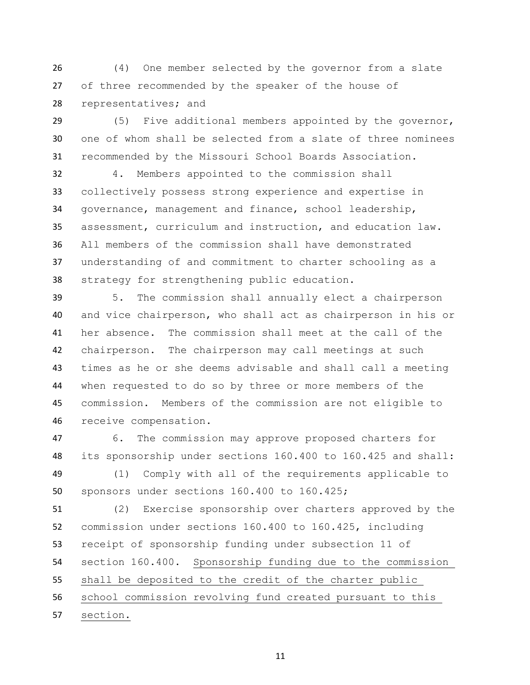(4) One member selected by the governor from a slate of three recommended by the speaker of the house of representatives; and

 (5) Five additional members appointed by the governor, one of whom shall be selected from a slate of three nominees recommended by the Missouri School Boards Association.

 4. Members appointed to the commission shall collectively possess strong experience and expertise in governance, management and finance, school leadership, assessment, curriculum and instruction, and education law. All members of the commission shall have demonstrated understanding of and commitment to charter schooling as a strategy for strengthening public education.

 5. The commission shall annually elect a chairperson and vice chairperson, who shall act as chairperson in his or her absence. The commission shall meet at the call of the chairperson. The chairperson may call meetings at such times as he or she deems advisable and shall call a meeting when requested to do so by three or more members of the commission. Members of the commission are not eligible to receive compensation.

 6. The commission may approve proposed charters for its sponsorship under sections 160.400 to 160.425 and shall:

 (1) Comply with all of the requirements applicable to sponsors under sections 160.400 to 160.425;

 (2) Exercise sponsorship over charters approved by the commission under sections 160.400 to 160.425, including receipt of sponsorship funding under subsection 11 of section 160.400. Sponsorship funding due to the commission shall be deposited to the credit of the charter public school commission revolving fund created pursuant to this section.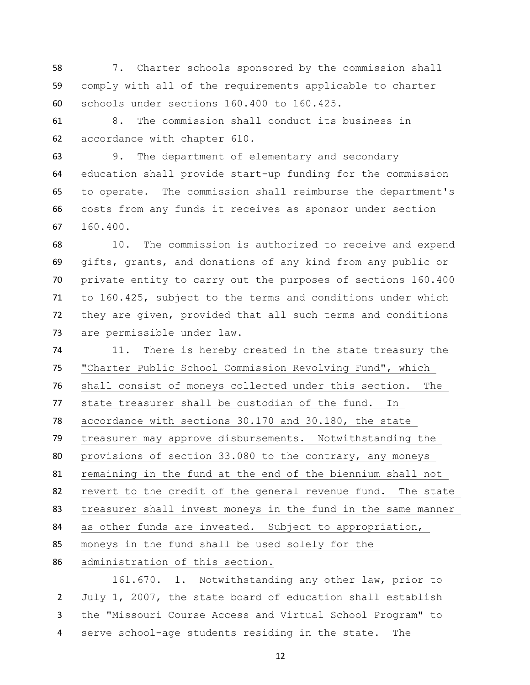7. Charter schools sponsored by the commission shall comply with all of the requirements applicable to charter schools under sections 160.400 to 160.425.

 8. The commission shall conduct its business in accordance with chapter 610.

 9. The department of elementary and secondary education shall provide start-up funding for the commission to operate. The commission shall reimburse the department's costs from any funds it receives as sponsor under section 160.400.

 10. The commission is authorized to receive and expend gifts, grants, and donations of any kind from any public or private entity to carry out the purposes of sections 160.400 to 160.425, subject to the terms and conditions under which they are given, provided that all such terms and conditions are permissible under law.

 11. There is hereby created in the state treasury the "Charter Public School Commission Revolving Fund", which shall consist of moneys collected under this section. The state treasurer shall be custodian of the fund. In accordance with sections 30.170 and 30.180, the state treasurer may approve disbursements. Notwithstanding the provisions of section 33.080 to the contrary, any moneys remaining in the fund at the end of the biennium shall not revert to the credit of the general revenue fund. The state treasurer shall invest moneys in the fund in the same manner as other funds are invested. Subject to appropriation, moneys in the fund shall be used solely for the administration of this section.

161.670. 1. Notwithstanding any other law, prior to July 1, 2007, the state board of education shall establish the "Missouri Course Access and Virtual School Program" to serve school-age students residing in the state. The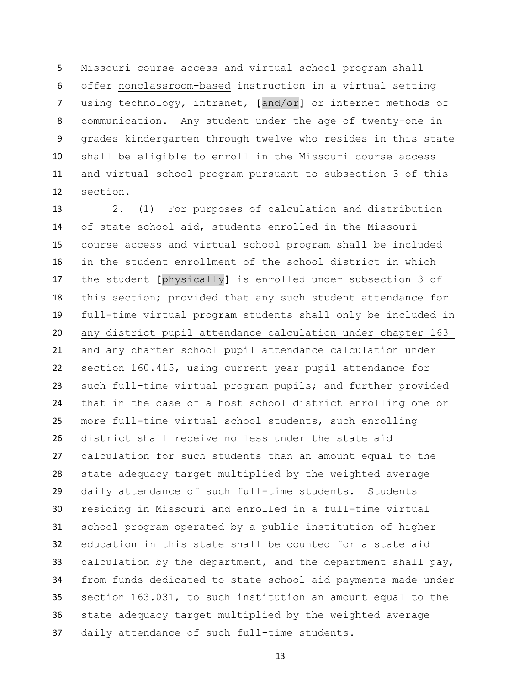Missouri course access and virtual school program shall offer nonclassroom-based instruction in a virtual setting using technology, intranet, **[**and/or**]** or internet methods of communication. Any student under the age of twenty-one in grades kindergarten through twelve who resides in this state shall be eligible to enroll in the Missouri course access and virtual school program pursuant to subsection 3 of this section.

 2. (1) For purposes of calculation and distribution of state school aid, students enrolled in the Missouri course access and virtual school program shall be included in the student enrollment of the school district in which the student **[**physically**]** is enrolled under subsection 3 of this section; provided that any such student attendance for full-time virtual program students shall only be included in any district pupil attendance calculation under chapter 163 and any charter school pupil attendance calculation under section 160.415, using current year pupil attendance for such full-time virtual program pupils; and further provided that in the case of a host school district enrolling one or more full-time virtual school students, such enrolling district shall receive no less under the state aid calculation for such students than an amount equal to the state adequacy target multiplied by the weighted average daily attendance of such full-time students. Students residing in Missouri and enrolled in a full-time virtual school program operated by a public institution of higher education in this state shall be counted for a state aid 33 calculation by the department, and the department shall pay, from funds dedicated to state school aid payments made under section 163.031, to such institution an amount equal to the state adequacy target multiplied by the weighted average daily attendance of such full-time students.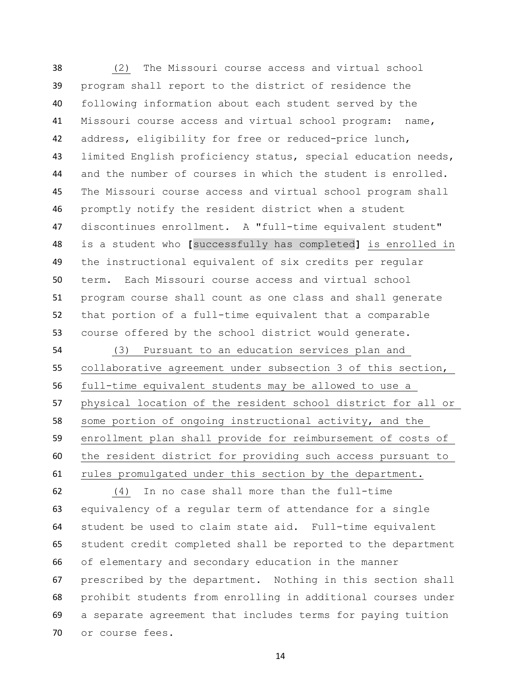(2) The Missouri course access and virtual school program shall report to the district of residence the following information about each student served by the Missouri course access and virtual school program: name, address, eligibility for free or reduced-price lunch, limited English proficiency status, special education needs, and the number of courses in which the student is enrolled. The Missouri course access and virtual school program shall promptly notify the resident district when a student 47 discontinues enrollment. A "full-time equivalent student" is a student who **[**successfully has completed**]** is enrolled in the instructional equivalent of six credits per regular term. Each Missouri course access and virtual school program course shall count as one class and shall generate that portion of a full-time equivalent that a comparable course offered by the school district would generate.

 (3) Pursuant to an education services plan and collaborative agreement under subsection 3 of this section, full-time equivalent students may be allowed to use a physical location of the resident school district for all or some portion of ongoing instructional activity, and the enrollment plan shall provide for reimbursement of costs of the resident district for providing such access pursuant to rules promulgated under this section by the department.

 (4) In no case shall more than the full-time equivalency of a regular term of attendance for a single student be used to claim state aid. Full-time equivalent student credit completed shall be reported to the department of elementary and secondary education in the manner prescribed by the department. Nothing in this section shall prohibit students from enrolling in additional courses under a separate agreement that includes terms for paying tuition or course fees.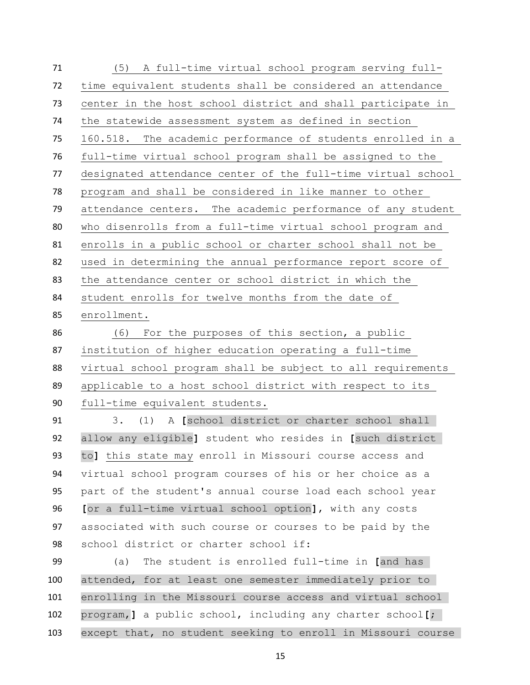(5) A full-time virtual school program serving full- time equivalent students shall be considered an attendance center in the host school district and shall participate in the statewide assessment system as defined in section 160.518. The academic performance of students enrolled in a full-time virtual school program shall be assigned to the designated attendance center of the full-time virtual school program and shall be considered in like manner to other attendance centers. The academic performance of any student who disenrolls from a full-time virtual school program and enrolls in a public school or charter school shall not be used in determining the annual performance report score of the attendance center or school district in which the student enrolls for twelve months from the date of enrollment. (6) For the purposes of this section, a public

 institution of higher education operating a full-time virtual school program shall be subject to all requirements applicable to a host school district with respect to its full-time equivalent students.

 3. (1) A **[**school district or charter school shall allow any eligible**]** student who resides in **[**such district to**]** this state may enroll in Missouri course access and virtual school program courses of his or her choice as a part of the student's annual course load each school year **[**or a full-time virtual school option**]**, with any costs associated with such course or courses to be paid by the school district or charter school if:

 (a) The student is enrolled full-time in **[**and has attended, for at least one semester immediately prior to enrolling in the Missouri course access and virtual school program,**]** a public school, including any charter school**[**; except that, no student seeking to enroll in Missouri course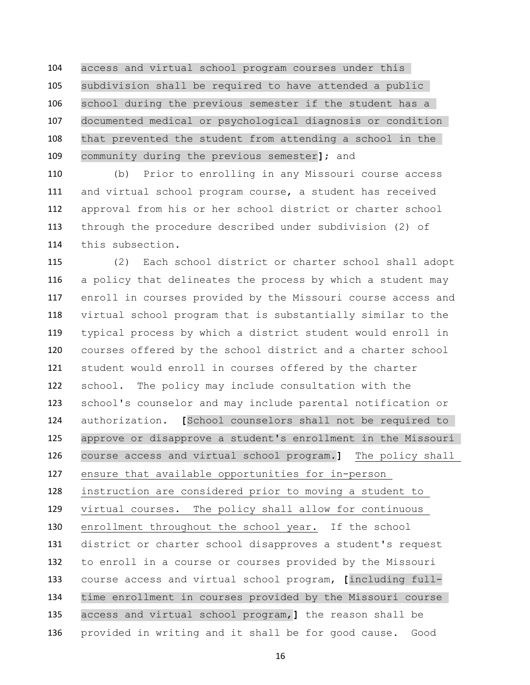access and virtual school program courses under this subdivision shall be required to have attended a public school during the previous semester if the student has a documented medical or psychological diagnosis or condition that prevented the student from attending a school in the community during the previous semester**]**; and

 (b) Prior to enrolling in any Missouri course access and virtual school program course, a student has received approval from his or her school district or charter school through the procedure described under subdivision (2) of this subsection.

 (2) Each school district or charter school shall adopt a policy that delineates the process by which a student may enroll in courses provided by the Missouri course access and virtual school program that is substantially similar to the typical process by which a district student would enroll in courses offered by the school district and a charter school student would enroll in courses offered by the charter school. The policy may include consultation with the school's counselor and may include parental notification or authorization. **[**School counselors shall not be required to approve or disapprove a student's enrollment in the Missouri course access and virtual school program.**]** The policy shall ensure that available opportunities for in-person instruction are considered prior to moving a student to virtual courses. The policy shall allow for continuous enrollment throughout the school year. If the school district or charter school disapproves a student's request to enroll in a course or courses provided by the Missouri course access and virtual school program, **[**including full- time enrollment in courses provided by the Missouri course access and virtual school program,**]** the reason shall be provided in writing and it shall be for good cause. Good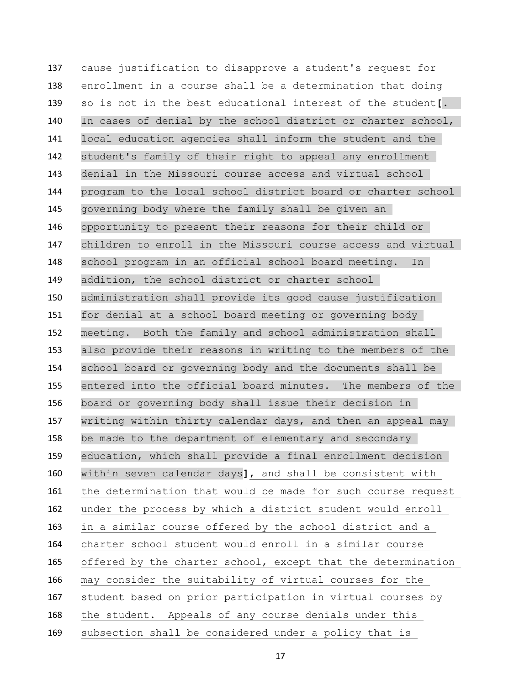cause justification to disapprove a student's request for enrollment in a course shall be a determination that doing so is not in the best educational interest of the student**[**. In cases of denial by the school district or charter school, local education agencies shall inform the student and the student's family of their right to appeal any enrollment denial in the Missouri course access and virtual school program to the local school district board or charter school governing body where the family shall be given an opportunity to present their reasons for their child or children to enroll in the Missouri course access and virtual school program in an official school board meeting. In addition, the school district or charter school administration shall provide its good cause justification for denial at a school board meeting or governing body meeting. Both the family and school administration shall also provide their reasons in writing to the members of the school board or governing body and the documents shall be entered into the official board minutes. The members of the board or governing body shall issue their decision in writing within thirty calendar days, and then an appeal may be made to the department of elementary and secondary education, which shall provide a final enrollment decision within seven calendar days**]**, and shall be consistent with the determination that would be made for such course request under the process by which a district student would enroll in a similar course offered by the school district and a charter school student would enroll in a similar course offered by the charter school, except that the determination may consider the suitability of virtual courses for the student based on prior participation in virtual courses by the student. Appeals of any course denials under this subsection shall be considered under a policy that is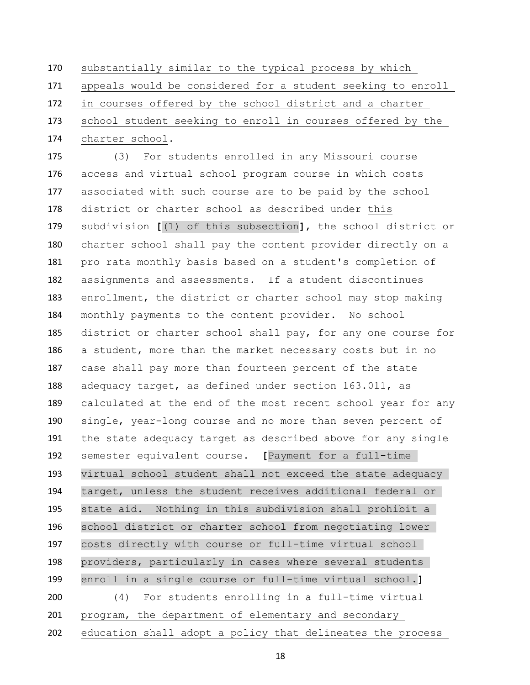substantially similar to the typical process by which appeals would be considered for a student seeking to enroll in courses offered by the school district and a charter school student seeking to enroll in courses offered by the charter school.

 (3) For students enrolled in any Missouri course access and virtual school program course in which costs associated with such course are to be paid by the school district or charter school as described under this subdivision **[**(1) of this subsection**]**, the school district or charter school shall pay the content provider directly on a pro rata monthly basis based on a student's completion of assignments and assessments. If a student discontinues enrollment, the district or charter school may stop making monthly payments to the content provider. No school district or charter school shall pay, for any one course for a student, more than the market necessary costs but in no case shall pay more than fourteen percent of the state adequacy target, as defined under section 163.011, as calculated at the end of the most recent school year for any single, year-long course and no more than seven percent of the state adequacy target as described above for any single semester equivalent course. **[**Payment for a full-time virtual school student shall not exceed the state adequacy target, unless the student receives additional federal or state aid. Nothing in this subdivision shall prohibit a school district or charter school from negotiating lower costs directly with course or full-time virtual school providers, particularly in cases where several students enroll in a single course or full-time virtual school.**]** (4) For students enrolling in a full-time virtual program, the department of elementary and secondary

education shall adopt a policy that delineates the process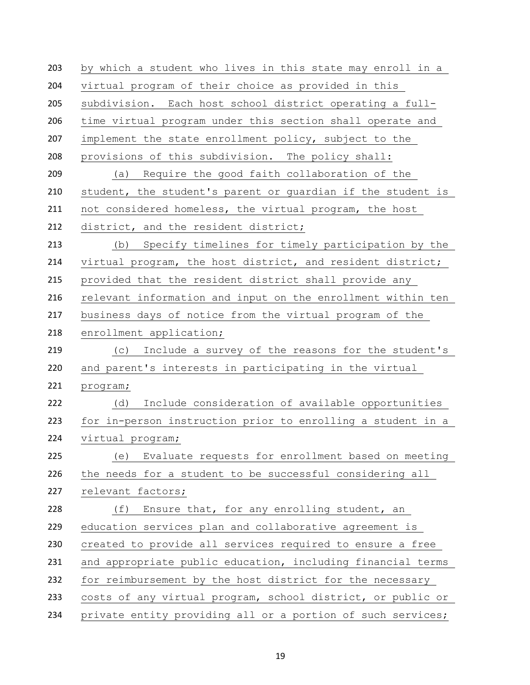by which a student who lives in this state may enroll in a virtual program of their choice as provided in this subdivision. Each host school district operating a full- time virtual program under this section shall operate and implement the state enrollment policy, subject to the provisions of this subdivision. The policy shall: (a) Require the good faith collaboration of the student, the student's parent or guardian if the student is not considered homeless, the virtual program, the host 212 district, and the resident district; (b) Specify timelines for timely participation by the virtual program, the host district, and resident district; provided that the resident district shall provide any relevant information and input on the enrollment within ten business days of notice from the virtual program of the enrollment application; (c) Include a survey of the reasons for the student's and parent's interests in participating in the virtual program; (d) Include consideration of available opportunities for in-person instruction prior to enrolling a student in a virtual program; (e) Evaluate requests for enrollment based on meeting the needs for a student to be successful considering all relevant factors; (f) Ensure that, for any enrolling student, an education services plan and collaborative agreement is created to provide all services required to ensure a free and appropriate public education, including financial terms for reimbursement by the host district for the necessary costs of any virtual program, school district, or public or private entity providing all or a portion of such services;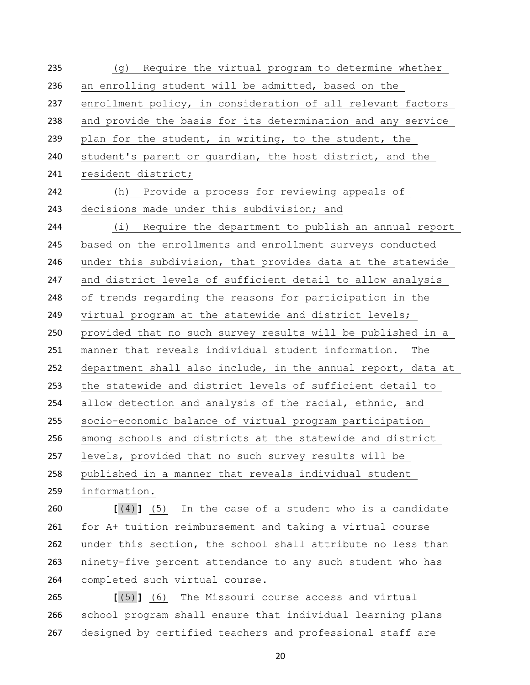(g) Require the virtual program to determine whether an enrolling student will be admitted, based on the enrollment policy, in consideration of all relevant factors and provide the basis for its determination and any service plan for the student, in writing, to the student, the student's parent or guardian, the host district, and the resident district; (h) Provide a process for reviewing appeals of decisions made under this subdivision; and (i) Require the department to publish an annual report based on the enrollments and enrollment surveys conducted under this subdivision, that provides data at the statewide and district levels of sufficient detail to allow analysis of trends regarding the reasons for participation in the virtual program at the statewide and district levels; provided that no such survey results will be published in a manner that reveals individual student information. The department shall also include, in the annual report, data at the statewide and district levels of sufficient detail to allow detection and analysis of the racial, ethnic, and socio-economic balance of virtual program participation among schools and districts at the statewide and district levels, provided that no such survey results will be published in a manner that reveals individual student information.

 **[**(4)**]** (5) In the case of a student who is a candidate for A+ tuition reimbursement and taking a virtual course under this section, the school shall attribute no less than ninety-five percent attendance to any such student who has completed such virtual course.

 **[**(5)**]** (6) The Missouri course access and virtual school program shall ensure that individual learning plans 267 designed by certified teachers and professional staff are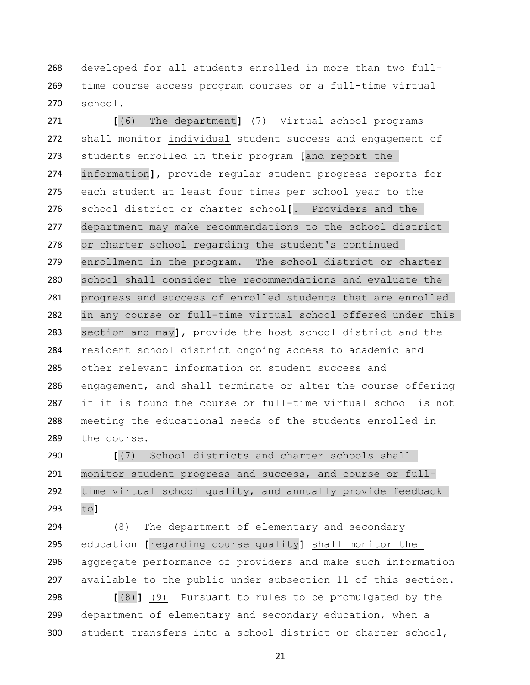developed for all students enrolled in more than two full- time course access program courses or a full-time virtual school.

 **[**(6) The department**]** (7) Virtual school programs shall monitor individual student success and engagement of students enrolled in their program **[**and report the information**]**, provide regular student progress reports for each student at least four times per school year to the school district or charter school**[**. Providers and the department may make recommendations to the school district or charter school regarding the student's continued enrollment in the program. The school district or charter school shall consider the recommendations and evaluate the progress and success of enrolled students that are enrolled in any course or full-time virtual school offered under this section and may**]**, provide the host school district and the resident school district ongoing access to academic and other relevant information on student success and engagement, and shall terminate or alter the course offering if it is found the course or full-time virtual school is not meeting the educational needs of the students enrolled in the course.

 **[**(7) School districts and charter schools shall monitor student progress and success, and course or full- time virtual school quality, and annually provide feedback to**]**

 (8) The department of elementary and secondary education **[**regarding course quality**]** shall monitor the aggregate performance of providers and make such information available to the public under subsection 11 of this section.

 **[**(8)**]** (9) Pursuant to rules to be promulgated by the department of elementary and secondary education, when a student transfers into a school district or charter school,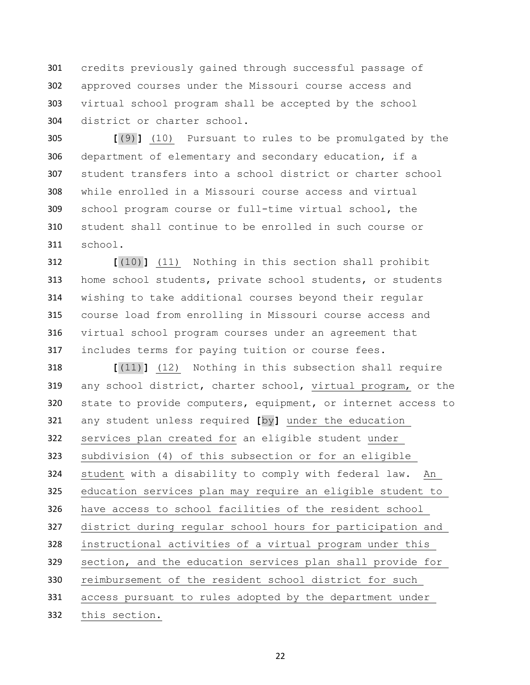credits previously gained through successful passage of approved courses under the Missouri course access and virtual school program shall be accepted by the school district or charter school.

 **[**(9)**]** (10) Pursuant to rules to be promulgated by the department of elementary and secondary education, if a student transfers into a school district or charter school while enrolled in a Missouri course access and virtual school program course or full-time virtual school, the student shall continue to be enrolled in such course or school.

 **[**(10)**]** (11) Nothing in this section shall prohibit home school students, private school students, or students wishing to take additional courses beyond their regular course load from enrolling in Missouri course access and virtual school program courses under an agreement that includes terms for paying tuition or course fees.

 **[**(11)**]** (12) Nothing in this subsection shall require any school district, charter school, virtual program, or the state to provide computers, equipment, or internet access to any student unless required **[**by**]** under the education services plan created for an eligible student under subdivision (4) of this subsection or for an eligible student with a disability to comply with federal law. An education services plan may require an eligible student to have access to school facilities of the resident school district during regular school hours for participation and instructional activities of a virtual program under this section, and the education services plan shall provide for reimbursement of the resident school district for such access pursuant to rules adopted by the department under this section.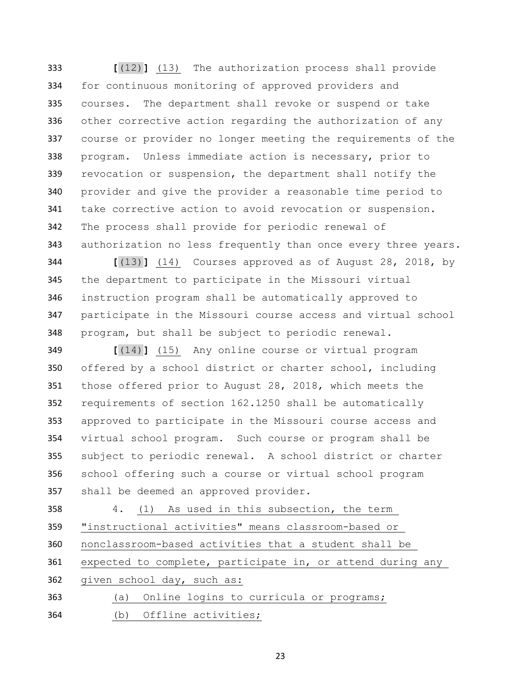**[**(12)**]** (13) The authorization process shall provide for continuous monitoring of approved providers and courses. The department shall revoke or suspend or take other corrective action regarding the authorization of any course or provider no longer meeting the requirements of the program. Unless immediate action is necessary, prior to revocation or suspension, the department shall notify the provider and give the provider a reasonable time period to take corrective action to avoid revocation or suspension. The process shall provide for periodic renewal of authorization no less frequently than once every three years.

 **[**(13)**]** (14) Courses approved as of August 28, 2018, by the department to participate in the Missouri virtual instruction program shall be automatically approved to participate in the Missouri course access and virtual school program, but shall be subject to periodic renewal.

 **[**(14)**]** (15) Any online course or virtual program offered by a school district or charter school, including those offered prior to August 28, 2018, which meets the requirements of section 162.1250 shall be automatically approved to participate in the Missouri course access and virtual school program. Such course or program shall be subject to periodic renewal. A school district or charter school offering such a course or virtual school program shall be deemed an approved provider.

 4. (1) As used in this subsection, the term "instructional activities" means classroom-based or nonclassroom-based activities that a student shall be expected to complete, participate in, or attend during any given school day, such as: (a) Online logins to curricula or programs;

(b) Offline activities;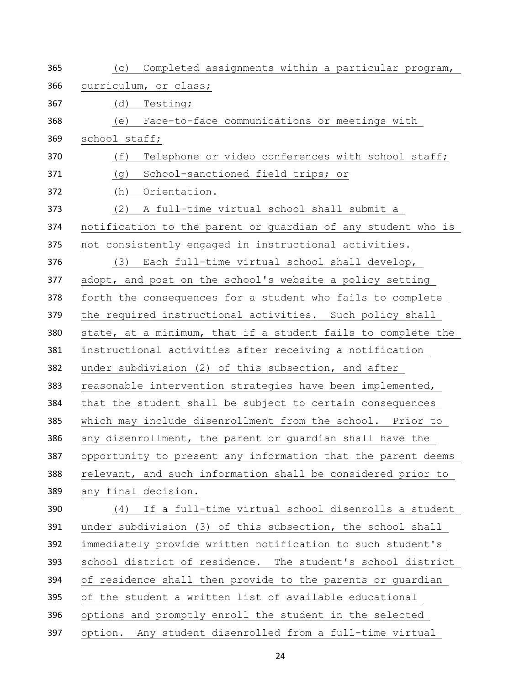| 365 | Completed assignments within a particular program,<br>(C)    |
|-----|--------------------------------------------------------------|
| 366 | curriculum, or class;                                        |
| 367 | Testing;<br>(d)                                              |
| 368 | Face-to-face communications or meetings with<br>(e)          |
| 369 | school staff;                                                |
| 370 | (f)<br>Telephone or video conferences with school staff;     |
| 371 | School-sanctioned field trips; or<br>(g)                     |
| 372 | Orientation.<br>(h)                                          |
| 373 | A full-time virtual school shall submit a<br>(2)             |
| 374 | notification to the parent or guardian of any student who is |
| 375 | not consistently engaged in instructional activities.        |
| 376 | Each full-time virtual school shall develop,<br>(3)          |
| 377 | adopt, and post on the school's website a policy setting     |
| 378 | forth the consequences for a student who fails to complete   |
| 379 | the required instructional activities. Such policy shall     |
| 380 | state, at a minimum, that if a student fails to complete the |
| 381 | instructional activities after receiving a notification      |
| 382 | under subdivision (2) of this subsection, and after          |
| 383 | reasonable intervention strategies have been implemented,    |
| 384 | that the student shall be subject to certain consequences    |
| 385 | which may include disenrollment from the school. Prior to    |
| 386 | any disenrollment, the parent or quardian shall have the     |
| 387 | opportunity to present any information that the parent deems |
| 388 | relevant, and such information shall be considered prior to  |
| 389 | any final decision.                                          |
| 390 | If a full-time virtual school disenrolls a student<br>(4)    |
| 391 | under subdivision (3) of this subsection, the school shall   |
| 392 | immediately provide written notification to such student's   |
| 393 | school district of residence. The student's school district  |
| 394 | of residence shall then provide to the parents or guardian   |
| 395 | of the student a written list of available educational       |
| 396 | options and promptly enroll the student in the selected      |
| 397 | option. Any student disenrolled from a full-time virtual     |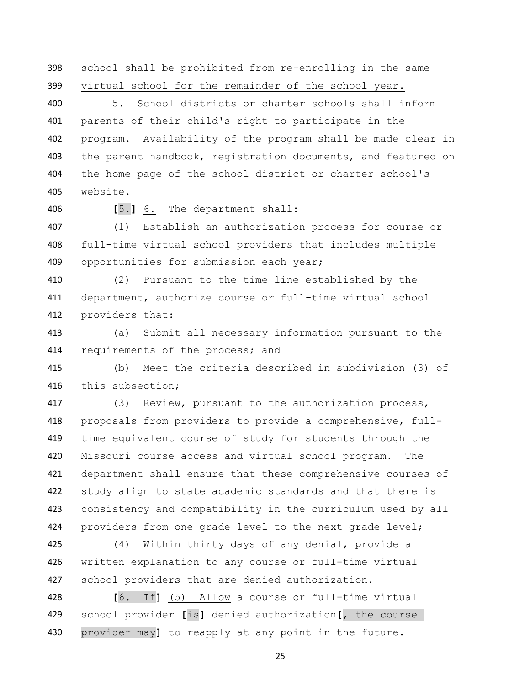school shall be prohibited from re-enrolling in the same

virtual school for the remainder of the school year.

 5. School districts or charter schools shall inform parents of their child's right to participate in the program. Availability of the program shall be made clear in the parent handbook, registration documents, and featured on the home page of the school district or charter school's website.

**[**5.**]** 6. The department shall:

 (1) Establish an authorization process for course or full-time virtual school providers that includes multiple 409 opportunities for submission each year;

 (2) Pursuant to the time line established by the department, authorize course or full-time virtual school providers that:

 (a) Submit all necessary information pursuant to the 414 requirements of the process; and

 (b) Meet the criteria described in subdivision (3) of this subsection;

 (3) Review, pursuant to the authorization process, proposals from providers to provide a comprehensive, full- time equivalent course of study for students through the Missouri course access and virtual school program. The department shall ensure that these comprehensive courses of study align to state academic standards and that there is consistency and compatibility in the curriculum used by all providers from one grade level to the next grade level;

 (4) Within thirty days of any denial, provide a written explanation to any course or full-time virtual school providers that are denied authorization.

 **[**6. If**]** (5) Allow a course or full-time virtual school provider **[**is**]** denied authorization**[**, the course provider may**]** to reapply at any point in the future.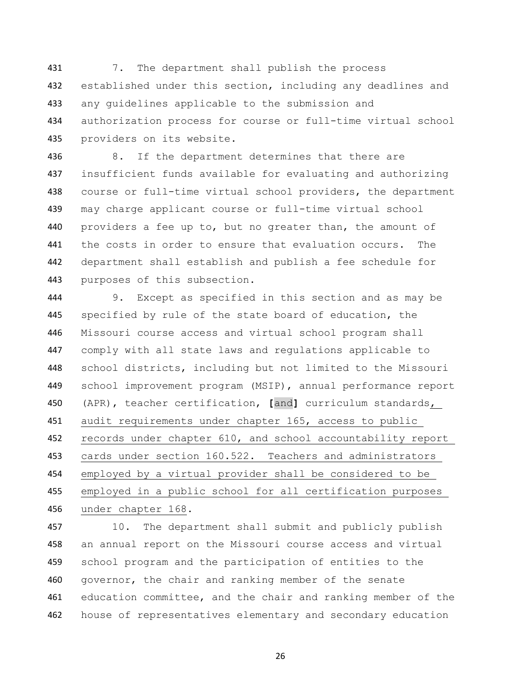7. The department shall publish the process 432 established under this section, including any deadlines and any guidelines applicable to the submission and authorization process for course or full-time virtual school providers on its website.

 8. If the department determines that there are insufficient funds available for evaluating and authorizing course or full-time virtual school providers, the department may charge applicant course or full-time virtual school providers a fee up to, but no greater than, the amount of the costs in order to ensure that evaluation occurs. The department shall establish and publish a fee schedule for purposes of this subsection.

 9. Except as specified in this section and as may be specified by rule of the state board of education, the Missouri course access and virtual school program shall comply with all state laws and regulations applicable to school districts, including but not limited to the Missouri school improvement program (MSIP), annual performance report (APR), teacher certification, **[**and**]** curriculum standards, audit requirements under chapter 165, access to public 452 records under chapter 610, and school accountability report cards under section 160.522. Teachers and administrators employed by a virtual provider shall be considered to be employed in a public school for all certification purposes under chapter 168.

 10. The department shall submit and publicly publish an annual report on the Missouri course access and virtual school program and the participation of entities to the governor, the chair and ranking member of the senate education committee, and the chair and ranking member of the house of representatives elementary and secondary education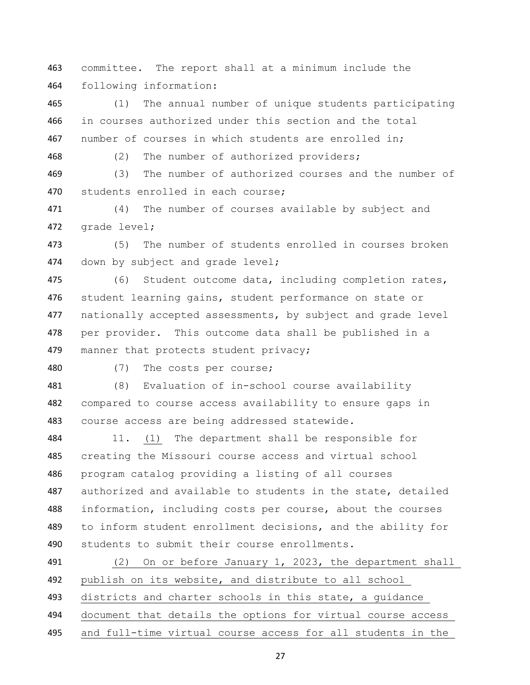committee. The report shall at a minimum include the following information:

 (1) The annual number of unique students participating in courses authorized under this section and the total 467 number of courses in which students are enrolled in;

(2) The number of authorized providers;

 (3) The number of authorized courses and the number of 470 students enrolled in each course;

 (4) The number of courses available by subject and 472 grade level;

 (5) The number of students enrolled in courses broken 474 down by subject and grade level;

 (6) Student outcome data, including completion rates, student learning gains, student performance on state or nationally accepted assessments, by subject and grade level per provider. This outcome data shall be published in a 479 manner that protects student privacy;

(7) The costs per course;

 (8) Evaluation of in-school course availability compared to course access availability to ensure gaps in course access are being addressed statewide.

 11. (1) The department shall be responsible for creating the Missouri course access and virtual school program catalog providing a listing of all courses authorized and available to students in the state, detailed information, including costs per course, about the courses to inform student enrollment decisions, and the ability for students to submit their course enrollments.

 (2) On or before January 1, 2023, the department shall publish on its website, and distribute to all school districts and charter schools in this state, a guidance document that details the options for virtual course access and full-time virtual course access for all students in the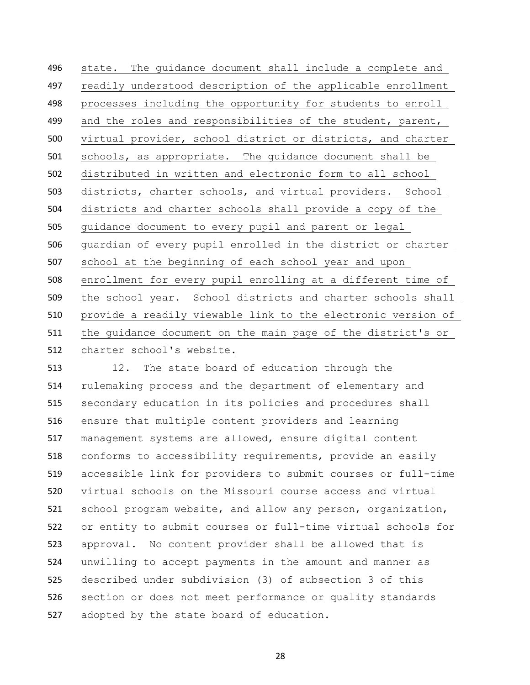state. The guidance document shall include a complete and readily understood description of the applicable enrollment processes including the opportunity for students to enroll 499 and the roles and responsibilities of the student, parent, virtual provider, school district or districts, and charter schools, as appropriate. The guidance document shall be distributed in written and electronic form to all school districts, charter schools, and virtual providers. School districts and charter schools shall provide a copy of the guidance document to every pupil and parent or legal guardian of every pupil enrolled in the district or charter school at the beginning of each school year and upon enrollment for every pupil enrolling at a different time of the school year. School districts and charter schools shall provide a readily viewable link to the electronic version of the guidance document on the main page of the district's or charter school's website.

 12. The state board of education through the rulemaking process and the department of elementary and secondary education in its policies and procedures shall ensure that multiple content providers and learning management systems are allowed, ensure digital content conforms to accessibility requirements, provide an easily accessible link for providers to submit courses or full-time virtual schools on the Missouri course access and virtual school program website, and allow any person, organization, or entity to submit courses or full-time virtual schools for approval. No content provider shall be allowed that is unwilling to accept payments in the amount and manner as described under subdivision (3) of subsection 3 of this section or does not meet performance or quality standards adopted by the state board of education.